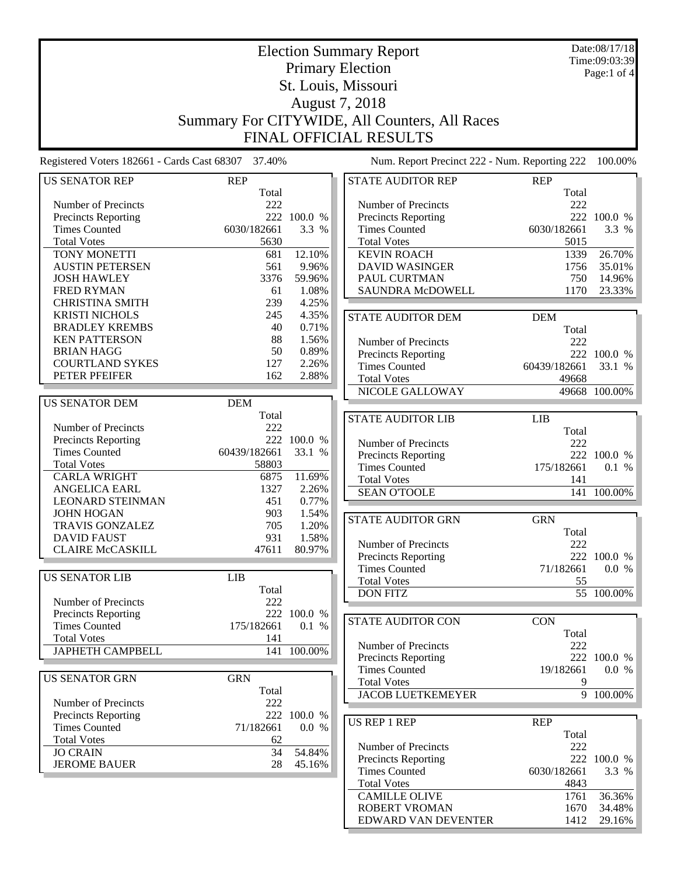|                                                    |              |                          | <b>Election Summary Report</b>                |              | Date:08/17/18<br>Time:09:03:39 |
|----------------------------------------------------|--------------|--------------------------|-----------------------------------------------|--------------|--------------------------------|
|                                                    |              |                          | <b>Primary Election</b>                       |              | Page:1 of 4                    |
|                                                    |              |                          | St. Louis, Missouri                           |              |                                |
|                                                    |              |                          | August 7, 2018                                |              |                                |
|                                                    |              |                          | Summary For CITYWIDE, All Counters, All Races |              |                                |
|                                                    |              |                          |                                               |              |                                |
|                                                    |              |                          | <b>FINAL OFFICIAL RESULTS</b>                 |              |                                |
| Registered Voters 182661 - Cards Cast 68307 37.40% |              |                          | Num. Report Precinct 222 - Num. Reporting 222 |              | 100.00%                        |
| <b>US SENATOR REP</b>                              | <b>REP</b>   |                          | STATE AUDITOR REP                             | <b>REP</b>   |                                |
|                                                    | Total        |                          |                                               | Total        |                                |
| Number of Precincts                                | 222          |                          | Number of Precincts                           | 222          |                                |
| <b>Precincts Reporting</b>                         |              | 222 100.0 %              | <b>Precincts Reporting</b>                    |              | 222 100.0 %                    |
| <b>Times Counted</b>                               | 6030/182661  | 3.3 %                    | <b>Times Counted</b>                          | 6030/182661  | 3.3 %                          |
| <b>Total Votes</b>                                 | 5630         |                          | <b>Total Votes</b>                            | 5015         |                                |
| TONY MONETTI                                       | 681          | 12.10%                   | <b>KEVIN ROACH</b>                            | 1339         | 26.70%                         |
| <b>AUSTIN PETERSEN</b>                             | 561          | 9.96%                    | <b>DAVID WASINGER</b>                         | 1756         | 35.01%                         |
| <b>JOSH HAWLEY</b>                                 | 3376         | 59.96%                   | PAUL CURTMAN                                  | 750          | 14.96%                         |
| <b>FRED RYMAN</b>                                  | 61           | 1.08%                    | SAUNDRA McDOWELL                              | 1170         | 23.33%                         |
| <b>CHRISTINA SMITH</b>                             | 239          | 4.25%                    |                                               |              |                                |
| <b>KRISTI NICHOLS</b>                              | 245          | 4.35%                    | <b>STATE AUDITOR DEM</b>                      | <b>DEM</b>   |                                |
| <b>BRADLEY KREMBS</b>                              | 40           | 0.71%                    |                                               | Total        |                                |
| <b>KEN PATTERSON</b>                               | 88           | 1.56%                    | Number of Precincts                           | 222          |                                |
| <b>BRIAN HAGG</b>                                  | 50           | 0.89%                    | Precincts Reporting                           |              | 222 100.0 %                    |
| <b>COURTLAND SYKES</b>                             | 127          | 2.26%                    | <b>Times Counted</b>                          | 60439/182661 | 33.1 %                         |
| PETER PFEIFER                                      | 162          | 2.88%                    | <b>Total Votes</b>                            | 49668        |                                |
|                                                    |              |                          | NICOLE GALLOWAY                               |              | 49668 100.00%                  |
| <b>US SENATOR DEM</b>                              | <b>DEM</b>   |                          |                                               |              |                                |
|                                                    | Total        |                          |                                               |              |                                |
| Number of Precincts                                | 222          |                          | <b>STATE AUDITOR LIB</b>                      | <b>LIB</b>   |                                |
| <b>Precincts Reporting</b>                         |              | 222 100.0 %              |                                               | Total        |                                |
| <b>Times Counted</b>                               | 60439/182661 | 33.1 %                   | Number of Precincts                           | 222          |                                |
| <b>Total Votes</b>                                 | 58803        |                          | <b>Precincts Reporting</b>                    |              | 222 100.0 %                    |
| <b>CARLA WRIGHT</b>                                | 6875         | 11.69%                   | <b>Times Counted</b>                          | 175/182661   | $0.1\,$ %                      |
| <b>ANGELICA EARL</b>                               | 1327         | 2.26%                    | <b>Total Votes</b>                            | 141          |                                |
| <b>LEONARD STEINMAN</b>                            | 451          | 0.77%                    | <b>SEAN O'TOOLE</b>                           |              | 141 100.00%                    |
| <b>JOHN HOGAN</b>                                  | 903          |                          |                                               |              |                                |
|                                                    |              | 1.54%                    | <b>STATE AUDITOR GRN</b>                      | <b>GRN</b>   |                                |
| <b>TRAVIS GONZALEZ</b>                             | 705          | 1.20%                    |                                               | Total        |                                |
| DAVID FAUST                                        | 931          | 1.58%                    | Number of Precincts                           | 222          |                                |
| <b>CLAIRE McCASKILL</b>                            | 47611        | 80.97%                   | Precincts Reporting                           |              | 222 100.0 %                    |
|                                                    |              |                          | <b>Times Counted</b>                          | 71/182661    | 0.0 %                          |
| <b>US SENATOR LIB</b>                              | <b>LIB</b>   |                          | <b>Total Votes</b>                            | 55           |                                |
|                                                    | Total        |                          | <b>DON FITZ</b>                               |              | 55 100.00%                     |
| Number of Precincts                                | 222          |                          |                                               |              |                                |
| Precincts Reporting                                |              | 222 100.0 %              | <b>STATE AUDITOR CON</b>                      | <b>CON</b>   |                                |
| <b>Times Counted</b>                               | 175/182661   | 0.1 %                    |                                               | Total        |                                |
| <b>Total Votes</b>                                 | 141          |                          |                                               |              |                                |
| <b>JAPHETH CAMPBELL</b>                            |              | $\overline{141}$ 100.00% | Number of Precincts                           | 222          |                                |
|                                                    |              |                          | <b>Precincts Reporting</b>                    |              | 222 100.0 %                    |
| <b>US SENATOR GRN</b>                              | <b>GRN</b>   |                          | <b>Times Counted</b>                          | 19/182661    | 0.0 %                          |
|                                                    | Total        |                          | <b>Total Votes</b>                            | 9            |                                |
| Number of Precincts                                | 222          |                          | <b>JACOB LUETKEMEYER</b>                      |              | 9 100.00%                      |
| Precincts Reporting                                |              | 222 100.0 %              |                                               |              |                                |
| <b>Times Counted</b>                               | 71/182661    | 0.0 %                    | US REP 1 REP                                  | <b>REP</b>   |                                |
| <b>Total Votes</b>                                 | 62           |                          |                                               | Total        |                                |
| <b>JO CRAIN</b>                                    | 34           | 54.84%                   | Number of Precincts                           | 222          |                                |
| <b>JEROME BAUER</b>                                | 28           | 45.16%                   | Precincts Reporting                           |              | 222 100.0 %                    |
|                                                    |              |                          | <b>Times Counted</b>                          | 6030/182661  | 3.3 %                          |
|                                                    |              |                          | <b>Total Votes</b>                            | 4843         |                                |
|                                                    |              |                          | <b>CAMILLE OLIVE</b>                          | 1761         | 36.36%                         |

ROBERT VROMAN 1670 34.48%<br>EDWARD VAN DEVENTER 1412 29.16%

EDWARD VAN DEVENTER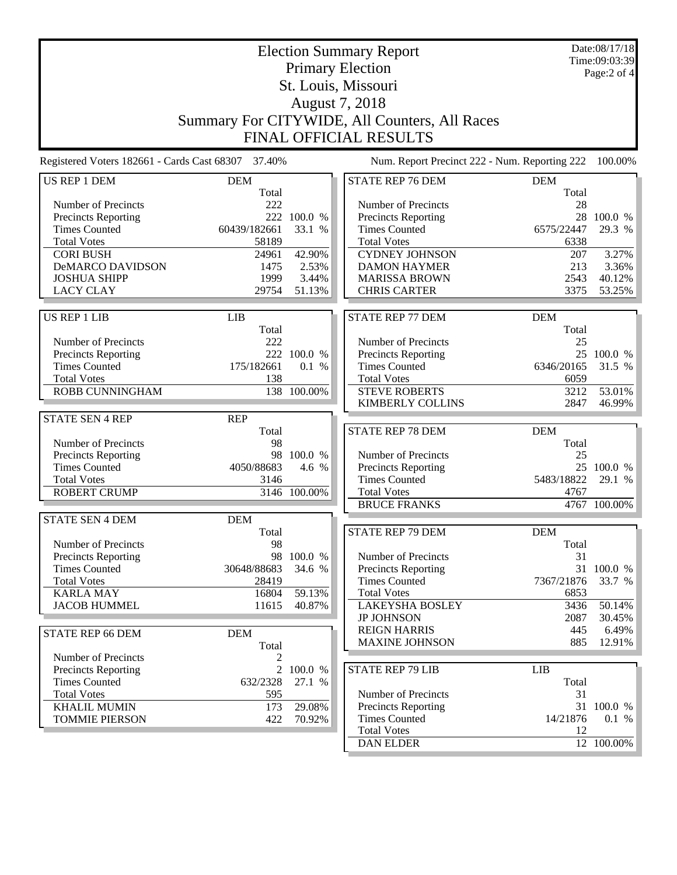|                                                    |              |              | <b>Election Summary Report</b><br><b>Primary Election</b><br>St. Louis, Missouri<br>August 7, 2018 |            | Date:08/17/18<br>Time:09:03:39<br>Page:2 of 4 |
|----------------------------------------------------|--------------|--------------|----------------------------------------------------------------------------------------------------|------------|-----------------------------------------------|
|                                                    |              |              | Summary For CITYWIDE, All Counters, All Races<br><b>FINAL OFFICIAL RESULTS</b>                     |            |                                               |
| Registered Voters 182661 - Cards Cast 68307 37.40% |              |              | Num. Report Precinct 222 - Num. Reporting 222                                                      |            | 100.00%                                       |
| <b>US REP 1 DEM</b>                                | <b>DEM</b>   |              | <b>STATE REP 76 DEM</b>                                                                            | <b>DEM</b> |                                               |
|                                                    | Total        |              |                                                                                                    | Total      |                                               |
| Number of Precincts                                | 222          |              | Number of Precincts                                                                                | 28         |                                               |
| Precincts Reporting                                |              | 222 100.0 %  | Precincts Reporting                                                                                | 28         | 100.0 %                                       |
| <b>Times Counted</b>                               | 60439/182661 | 33.1 %       | <b>Times Counted</b>                                                                               | 6575/22447 | 29.3 %                                        |
| <b>Total Votes</b>                                 | 58189        |              | <b>Total Votes</b>                                                                                 | 6338       |                                               |
| <b>CORI BUSH</b>                                   | 24961        | 42.90%       | <b>CYDNEY JOHNSON</b>                                                                              | 207        | 3.27%                                         |
| DeMARCO DAVIDSON                                   | 1475         | 2.53%        | <b>DAMON HAYMER</b>                                                                                | 213        | 3.36%                                         |
| <b>JOSHUA SHIPP</b>                                | 1999         | 3.44%        | <b>MARISSA BROWN</b>                                                                               | 2543       | 40.12%                                        |
| <b>LACY CLAY</b>                                   | 29754        | 51.13%       | <b>CHRIS CARTER</b>                                                                                | 3375       | 53.25%                                        |
| <b>US REP 1 LIB</b>                                | <b>LIB</b>   |              | <b>STATE REP 77 DEM</b>                                                                            | <b>DEM</b> |                                               |
|                                                    | Total        |              |                                                                                                    | Total      |                                               |
| Number of Precincts                                | 222          |              | Number of Precincts                                                                                | 25         |                                               |
| <b>Precincts Reporting</b>                         |              | 222 100.0 %  | Precincts Reporting                                                                                |            | 25 100.0 %                                    |
| <b>Times Counted</b>                               | 175/182661   | 0.1 %        | <b>Times Counted</b>                                                                               | 6346/20165 | 31.5 %                                        |
| <b>Total Votes</b>                                 | 138          |              | <b>Total Votes</b>                                                                                 | 6059       |                                               |
| ROBB CUNNINGHAM                                    |              | 138 100.00%  | <b>STEVE ROBERTS</b>                                                                               | 3212       | 53.01%                                        |
|                                                    |              |              | <b>KIMBERLY COLLINS</b>                                                                            | 2847       | 46.99%                                        |
| <b>STATE SEN 4 REP</b>                             | <b>REP</b>   |              |                                                                                                    |            |                                               |
|                                                    | Total        |              | STATE REP 78 DEM                                                                                   | <b>DEM</b> |                                               |
| Number of Precincts                                | 98           |              |                                                                                                    | Total      |                                               |
| Precincts Reporting                                | 98           | 100.0 %      | Number of Precincts                                                                                | 25         |                                               |
| <b>Times Counted</b>                               | 4050/88683   | 4.6 %        | Precincts Reporting                                                                                |            | 25 100.0 %                                    |
| <b>Total Votes</b>                                 | 3146         |              | <b>Times Counted</b>                                                                               | 5483/18822 | 29.1 %                                        |
| <b>ROBERT CRUMP</b>                                |              | 3146 100.00% | <b>Total Votes</b>                                                                                 | 4767       |                                               |
|                                                    |              |              | <b>BRUCE FRANKS</b>                                                                                |            | 4767 100.00%                                  |
|                                                    |              |              |                                                                                                    |            |                                               |
| <b>STATE SEN 4 DEM</b>                             | <b>DEM</b>   |              |                                                                                                    |            |                                               |
|                                                    | Total        |              | STATE REP 79 DEM                                                                                   | <b>DEM</b> |                                               |
| Number of Precincts                                | 98           |              |                                                                                                    | Total      |                                               |
| Precincts Reporting                                |              | 98 100.0 %   | Number of Precincts                                                                                | 31         |                                               |
| <b>Times Counted</b>                               | 30648/88683  | 34.6 %       | Precincts Reporting                                                                                | 31         | 100.0 %                                       |
| <b>Total Votes</b>                                 | 28419        |              | <b>Times Counted</b>                                                                               | 7367/21876 | 33.7 %                                        |
| <b>KARLA MAY</b>                                   | 16804        | 59.13%       | <b>Total Votes</b>                                                                                 | 6853       |                                               |
| <b>JACOB HUMMEL</b>                                | 11615        | 40.87%       | <b>LAKEYSHA BOSLEY</b>                                                                             | 3436       | 50.14%                                        |
|                                                    |              |              | <b>JP JOHNSON</b>                                                                                  | 2087       | 30.45%                                        |
| <b>STATE REP 66 DEM</b>                            | <b>DEM</b>   |              | <b>REIGN HARRIS</b>                                                                                | 445        | 6.49%                                         |
|                                                    | Total        |              | <b>MAXINE JOHNSON</b>                                                                              | 885        | 12.91%                                        |
| Number of Precincts                                | 2            |              |                                                                                                    |            |                                               |
| <b>Precincts Reporting</b>                         |              | 2 100.0 %    | <b>STATE REP 79 LIB</b>                                                                            | <b>LIB</b> |                                               |
| <b>Times Counted</b>                               | 632/2328     | 27.1 %       |                                                                                                    | Total      |                                               |
| <b>Total Votes</b>                                 | 595          |              | Number of Precincts                                                                                | 31         |                                               |
| <b>KHALIL MUMIN</b>                                | 173          | 29.08%       | <b>Precincts Reporting</b>                                                                         | 31         | 100.0 %                                       |
| <b>TOMMIE PIERSON</b>                              | 422          | 70.92%       | <b>Times Counted</b>                                                                               | 14/21876   | 0.1 %                                         |
|                                                    |              |              | <b>Total Votes</b>                                                                                 | 12         |                                               |
|                                                    |              |              | <b>DAN ELDER</b>                                                                                   |            | 12 100.00%                                    |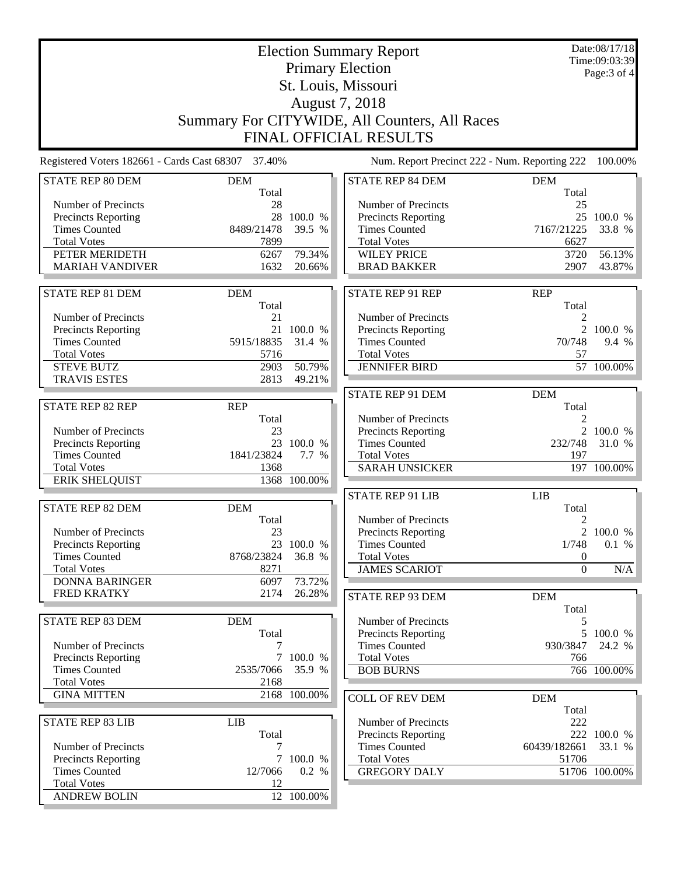|                                                    |                     |              | <b>Election Summary Report</b>                |                  | Date:08/17/18<br>Time:09:03:39 |
|----------------------------------------------------|---------------------|--------------|-----------------------------------------------|------------------|--------------------------------|
|                                                    |                     |              | <b>Primary Election</b>                       |                  | Page: 3 of 4                   |
|                                                    |                     |              | St. Louis, Missouri                           |                  |                                |
|                                                    |                     |              | August 7, 2018                                |                  |                                |
|                                                    |                     |              | Summary For CITYWIDE, All Counters, All Races |                  |                                |
|                                                    |                     |              |                                               |                  |                                |
|                                                    |                     |              | <b>FINAL OFFICIAL RESULTS</b>                 |                  |                                |
| Registered Voters 182661 - Cards Cast 68307 37.40% |                     |              | Num. Report Precinct 222 - Num. Reporting 222 |                  | 100.00%                        |
| <b>STATE REP 80 DEM</b>                            | <b>DEM</b>          |              | <b>STATE REP 84 DEM</b>                       | <b>DEM</b>       |                                |
| Number of Precincts                                | Total<br>28         |              | Number of Precincts                           | Total<br>25      |                                |
| <b>Precincts Reporting</b>                         |                     | 28 100.0 %   | <b>Precincts Reporting</b>                    |                  | 25 100.0 %                     |
| <b>Times Counted</b>                               | 8489/21478          | 39.5 %       | <b>Times Counted</b>                          | 7167/21225       | 33.8 %                         |
| <b>Total Votes</b>                                 | 7899                |              | <b>Total Votes</b>                            | 6627             |                                |
| PETER MERIDETH                                     | 6267                | 79.34%       | <b>WILEY PRICE</b>                            | 3720             | 56.13%                         |
| <b>MARIAH VANDIVER</b>                             | 1632                | 20.66%       | <b>BRAD BAKKER</b>                            | 2907             | 43.87%                         |
|                                                    |                     |              |                                               |                  |                                |
| STATE REP 81 DEM                                   | <b>DEM</b>          |              | <b>STATE REP 91 REP</b>                       | <b>REP</b>       |                                |
|                                                    | Total               |              |                                               | Total            |                                |
| Number of Precincts                                | 21                  |              | Number of Precincts                           | 2                |                                |
| <b>Precincts Reporting</b>                         |                     | 21 100.0 %   | Precincts Reporting                           |                  | 2 100.0 %                      |
| <b>Times Counted</b>                               | 5915/18835          | 31.4 %       | <b>Times Counted</b>                          | 70/748           | 9.4 %                          |
| <b>Total Votes</b>                                 | 5716                |              | <b>Total Votes</b>                            | 57               |                                |
| <b>STEVE BUTZ</b>                                  | 2903                | 50.79%       | <b>JENNIFER BIRD</b>                          |                  | 57 100.00%                     |
| <b>TRAVIS ESTES</b>                                | 2813                | 49.21%       |                                               |                  |                                |
|                                                    |                     |              | STATE REP 91 DEM                              | <b>DEM</b>       |                                |
| <b>STATE REP 82 REP</b>                            | <b>REP</b>          |              |                                               | Total            |                                |
|                                                    | Total               |              | Number of Precincts                           | 2                |                                |
| Number of Precincts                                | 23                  |              | Precincts Reporting                           |                  | 2 100.0 %                      |
| Precincts Reporting                                |                     | 23 100.0 %   | <b>Times Counted</b>                          | 232/748          | 31.0 %                         |
| <b>Times Counted</b><br><b>Total Votes</b>         | 1841/23824<br>1368  | 7.7 %        | <b>Total Votes</b>                            | 197              |                                |
| <b>ERIK SHELQUIST</b>                              |                     | 1368 100.00% | <b>SARAH UNSICKER</b>                         |                  | 197 100.00%                    |
|                                                    |                     |              |                                               |                  |                                |
| <b>STATE REP 82 DEM</b>                            |                     |              | <b>STATE REP 91 LIB</b>                       | LIB              |                                |
|                                                    | <b>DEM</b><br>Total |              | Number of Precincts                           | Total<br>2       |                                |
| Number of Precincts                                | 23                  |              | <b>Precincts Reporting</b>                    | $\overline{2}$   | 100.0 %                        |
| <b>Precincts Reporting</b>                         |                     | 23 100.0 %   | <b>Times Counted</b>                          | 1/748            | 0.1 %                          |
| <b>Times Counted</b>                               | 8768/23824          | 36.8 %       | <b>Total Votes</b>                            | 0                |                                |
| <b>Total Votes</b>                                 | 8271                |              | <b>JAMES SCARIOT</b>                          | $\boldsymbol{0}$ | N/A                            |
| <b>DONNA BARINGER</b>                              | 6097                | 73.72%       |                                               |                  |                                |
| <b>FRED KRATKY</b>                                 | 2174                | 26.28%       | STATE REP 93 DEM                              | <b>DEM</b>       |                                |
|                                                    |                     |              |                                               | Total            |                                |
| <b>STATE REP 83 DEM</b>                            | <b>DEM</b>          |              | Number of Precincts                           | 5                |                                |
|                                                    | Total               |              | <b>Precincts Reporting</b>                    |                  | 5 100.0 %                      |
| Number of Precincts                                | 7                   |              | <b>Times Counted</b>                          | 930/3847         | 24.2 %                         |
| Precincts Reporting                                |                     | 7 100.0 %    | <b>Total Votes</b>                            | 766              |                                |
| <b>Times Counted</b>                               | 2535/7066           | 35.9 %       | <b>BOB BURNS</b>                              |                  | 766 100.00%                    |
| <b>Total Votes</b>                                 | 2168                |              |                                               |                  |                                |
| <b>GINA MITTEN</b>                                 |                     | 2168 100.00% | <b>COLL OF REV DEM</b>                        | <b>DEM</b>       |                                |
|                                                    |                     |              |                                               | Total            |                                |
| <b>STATE REP 83 LIB</b>                            | <b>LIB</b>          |              | Number of Precincts                           | 222              |                                |
|                                                    | Total               |              | Precincts Reporting                           |                  | 222 100.0 %                    |
| Number of Precincts                                | 7                   |              | <b>Times Counted</b>                          | 60439/182661     | 33.1 %                         |
| Precincts Reporting                                | $\tau$              | 100.0 %      | <b>Total Votes</b>                            | 51706            |                                |
| <b>Times Counted</b>                               | 12/7066             | 0.2 %        | <b>GREGORY DALY</b>                           |                  | 51706 100.00%                  |
| <b>Total Votes</b>                                 | 12                  |              |                                               |                  |                                |
| <b>ANDREW BOLIN</b>                                |                     | 12 100.00%   |                                               |                  |                                |